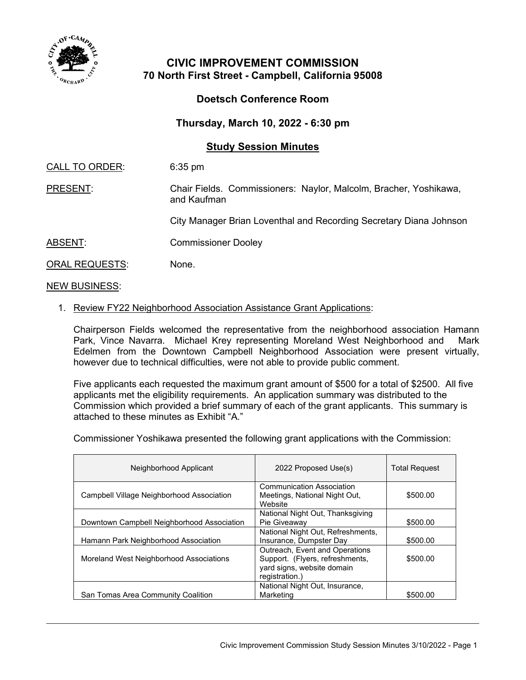

## **CIVIC IMPROVEMENT COMMISSION 70 North First Street - Campbell, California 95008**

## **Doetsch Conference Room**

**Thursday, March 10, 2022 - 6:30 pm**

## **Study Session Minutes**

CALL TO ORDER: 6:35 pm

PRESENT: Chair Fields. Commissioners: Naylor, Malcolm, Bracher, Yoshikawa, and Kaufman

City Manager Brian Loventhal and Recording Secretary Diana Johnson

ABSENT: Commissioner Dooley

ORAL REQUESTS: None.

NEW BUSINESS:

## 1. Review FY22 Neighborhood Association Assistance Grant Applications:

Chairperson Fields welcomed the representative from the neighborhood association Hamann Park, Vince Navarra. Michael Krey representing Moreland West Neighborhood and Mark Edelmen from the Downtown Campbell Neighborhood Association were present virtually, however due to technical difficulties, were not able to provide public comment.

Five applicants each requested the maximum grant amount of \$500 for a total of \$2500. All five applicants met the eligibility requirements. An application summary was distributed to the Commission which provided a brief summary of each of the grant applicants. This summary is attached to these minutes as Exhibit "A."

Commissioner Yoshikawa presented the following grant applications with the Commission:

| Neighborhood Applicant                     | 2022 Proposed Use(s)                                                                                              | <b>Total Request</b> |
|--------------------------------------------|-------------------------------------------------------------------------------------------------------------------|----------------------|
| Campbell Village Neighborhood Association  | Communication Association<br>Meetings, National Night Out,<br>Website                                             | \$500.00             |
| Downtown Campbell Neighborhood Association | National Night Out, Thanksgiving<br>Pie Giveawav                                                                  | \$500.00             |
| Hamann Park Neighborhood Association       | National Night Out, Refreshments,<br>Insurance, Dumpster Day                                                      | \$500.00             |
| Moreland West Neighborhood Associations    | Outreach, Event and Operations<br>Support. (Flyers, refreshments,<br>yard signs, website domain<br>registration.) | \$500.00             |
| San Tomas Area Community Coalition         | National Night Out, Insurance,<br>Marketing                                                                       | \$500.00             |